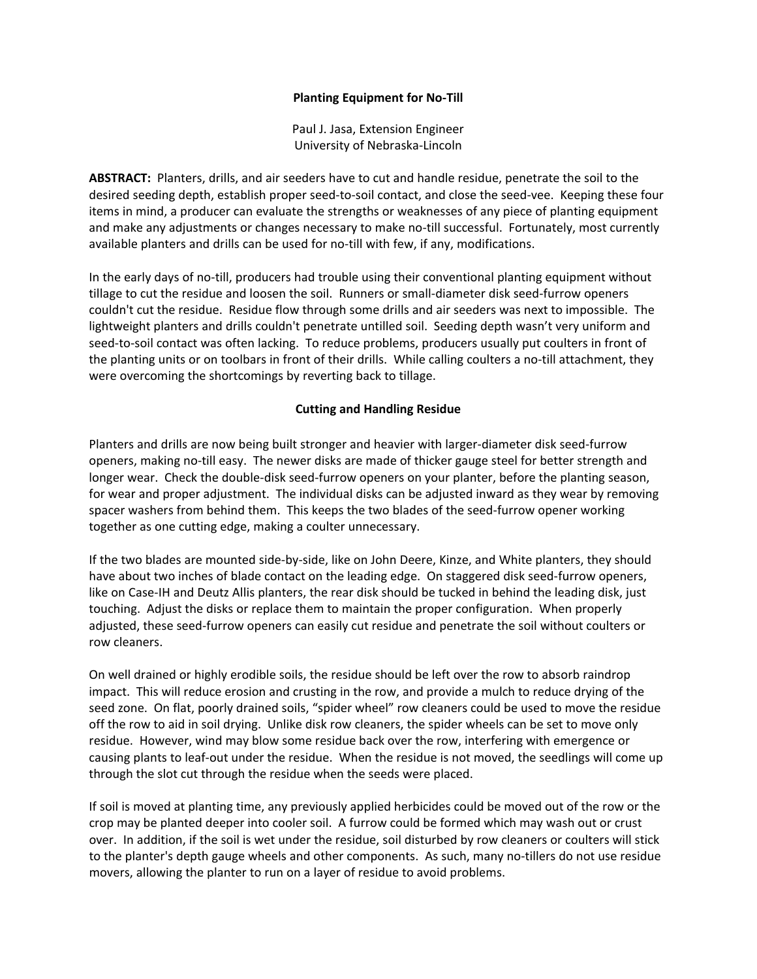## **Planting Equipment for No-Till**

Paul J. Jasa, Extension Engineer University of Nebraska-Lincoln

**ABSTRACT:** Planters, drills, and air seeders have to cut and handle residue, penetrate the soil to the desired seeding depth, establish proper seed-to-soil contact, and close the seed-vee. Keeping these four items in mind, a producer can evaluate the strengths or weaknesses of any piece of planting equipment and make any adjustments or changes necessary to make no-till successful. Fortunately, most currently available planters and drills can be used for no-till with few, if any, modifications.

In the early days of no-till, producers had trouble using their conventional planting equipment without tillage to cut the residue and loosen the soil. Runners or small-diameter disk seed-furrow openers couldn't cut the residue. Residue flow through some drills and air seeders was next to impossible. The lightweight planters and drills couldn't penetrate untilled soil. Seeding depth wasn't very uniform and seed-to-soil contact was often lacking. To reduce problems, producers usually put coulters in front of the planting units or on toolbars in front of their drills. While calling coulters a no-till attachment, they were overcoming the shortcomings by reverting back to tillage.

## **Cutting and Handling Residue**

Planters and drills are now being built stronger and heavier with larger-diameter disk seed-furrow openers, making no-till easy. The newer disks are made of thicker gauge steel for better strength and longer wear. Check the double-disk seed-furrow openers on your planter, before the planting season, for wear and proper adjustment. The individual disks can be adjusted inward as they wear by removing spacer washers from behind them. This keeps the two blades of the seed-furrow opener working together as one cutting edge, making a coulter unnecessary.

If the two blades are mounted side-by-side, like on John Deere, Kinze, and White planters, they should have about two inches of blade contact on the leading edge. On staggered disk seed-furrow openers, like on Case-IH and Deutz Allis planters, the rear disk should be tucked in behind the leading disk, just touching. Adjust the disks or replace them to maintain the proper configuration. When properly adjusted, these seed-furrow openers can easily cut residue and penetrate the soil without coulters or row cleaners.

On well drained or highly erodible soils, the residue should be left over the row to absorb raindrop impact. This will reduce erosion and crusting in the row, and provide a mulch to reduce drying of the seed zone. On flat, poorly drained soils, "spider wheel" row cleaners could be used to move the residue off the row to aid in soil drying. Unlike disk row cleaners, the spider wheels can be set to move only residue. However, wind may blow some residue back over the row, interfering with emergence or causing plants to leaf-out under the residue. When the residue is not moved, the seedlings will come up through the slot cut through the residue when the seeds were placed.

If soil is moved at planting time, any previously applied herbicides could be moved out of the row or the crop may be planted deeper into cooler soil. A furrow could be formed which may wash out or crust over. In addition, if the soil is wet under the residue, soil disturbed by row cleaners or coulters will stick to the planter's depth gauge wheels and other components. As such, many no-tillers do not use residue movers, allowing the planter to run on a layer of residue to avoid problems.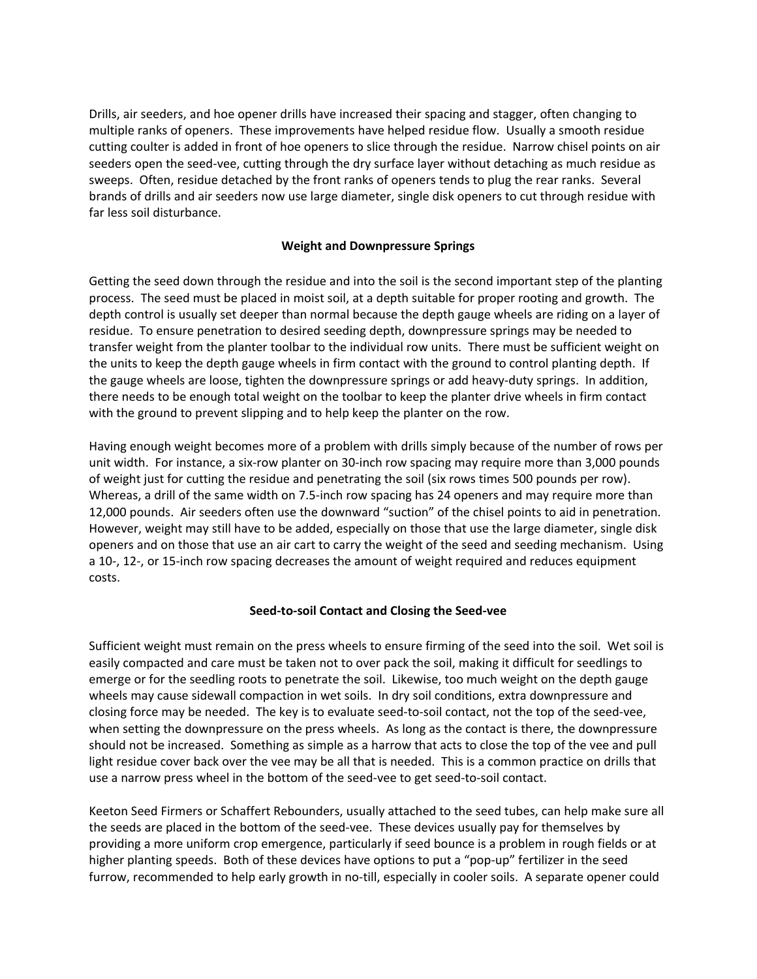Drills, air seeders, and hoe opener drills have increased their spacing and stagger, often changing to multiple ranks of openers. These improvements have helped residue flow. Usually a smooth residue cutting coulter is added in front of hoe openers to slice through the residue. Narrow chisel points on air seeders open the seed-vee, cutting through the dry surface layer without detaching as much residue as sweeps. Often, residue detached by the front ranks of openers tends to plug the rear ranks. Several brands of drills and air seeders now use large diameter, single disk openers to cut through residue with far less soil disturbance.

# **Weight and Downpressure Springs**

Getting the seed down through the residue and into the soil is the second important step of the planting process. The seed must be placed in moist soil, at a depth suitable for proper rooting and growth. The depth control is usually set deeper than normal because the depth gauge wheels are riding on a layer of residue. To ensure penetration to desired seeding depth, downpressure springs may be needed to transfer weight from the planter toolbar to the individual row units. There must be sufficient weight on the units to keep the depth gauge wheels in firm contact with the ground to control planting depth. If the gauge wheels are loose, tighten the downpressure springs or add heavy-duty springs. In addition, there needs to be enough total weight on the toolbar to keep the planter drive wheels in firm contact with the ground to prevent slipping and to help keep the planter on the row.

Having enough weight becomes more of a problem with drills simply because of the number of rows per unit width. For instance, a six-row planter on 30-inch row spacing may require more than 3,000 pounds of weight just for cutting the residue and penetrating the soil (six rows times 500 pounds per row). Whereas, a drill of the same width on 7.5-inch row spacing has 24 openers and may require more than 12,000 pounds. Air seeders often use the downward "suction" of the chisel points to aid in penetration. However, weight may still have to be added, especially on those that use the large diameter, single disk openers and on those that use an air cart to carry the weight of the seed and seeding mechanism. Using a 10-, 12-, or 15-inch row spacing decreases the amount of weight required and reduces equipment costs.

# **Seed-to-soil Contact and Closing the Seed-vee**

Sufficient weight must remain on the press wheels to ensure firming of the seed into the soil. Wet soil is easily compacted and care must be taken not to over pack the soil, making it difficult for seedlings to emerge or for the seedling roots to penetrate the soil. Likewise, too much weight on the depth gauge wheels may cause sidewall compaction in wet soils. In dry soil conditions, extra downpressure and closing force may be needed. The key is to evaluate seed-to-soil contact, not the top of the seed-vee, when setting the downpressure on the press wheels. As long as the contact is there, the downpressure should not be increased. Something as simple as a harrow that acts to close the top of the vee and pull light residue cover back over the vee may be all that is needed. This is a common practice on drills that use a narrow press wheel in the bottom of the seed-vee to get seed-to-soil contact.

Keeton Seed Firmers or Schaffert Rebounders, usually attached to the seed tubes, can help make sure all the seeds are placed in the bottom of the seed-vee. These devices usually pay for themselves by providing a more uniform crop emergence, particularly if seed bounce is a problem in rough fields or at higher planting speeds. Both of these devices have options to put a "pop-up" fertilizer in the seed furrow, recommended to help early growth in no-till, especially in cooler soils. A separate opener could